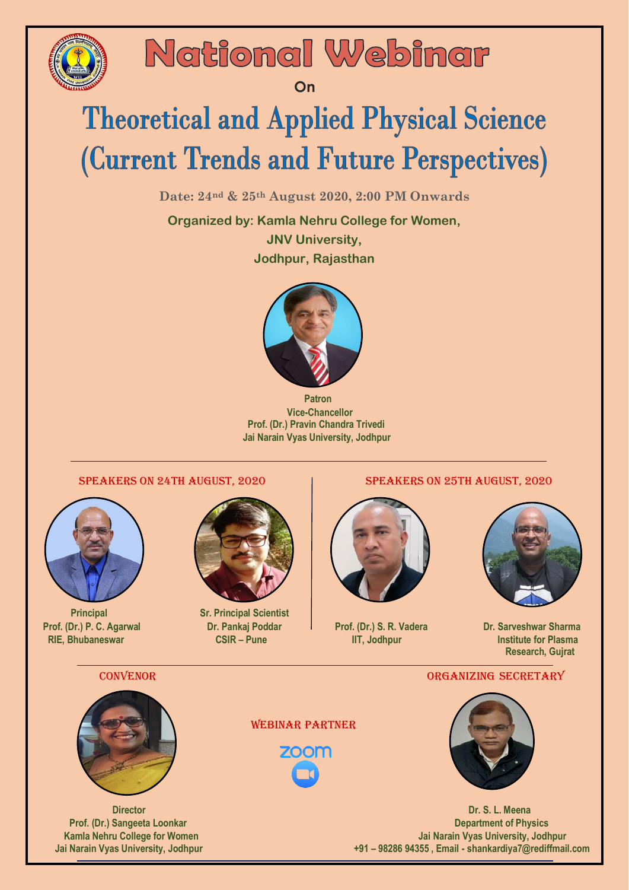

## National Webinar

 *On* One of the Contract of Con

# **Theoretical and Applied Physical Science** (Current Trends and Future Perspectives)

**Date: 24nd & 25th August 2020, 2:00 PM Onwards**

**Organized by: Kamla Nehru College for Women, JNV University, Jodhpur, Rajasthan**



 **Patron Vice-Chancellor Prof. (Dr.) Pravin Chandra Trivedi Jai Narain Vyas University, Jodhpur**

## Speakers on 24th August, 2020 Speakers on 25th August, 2020





**Principal Sr. Principal Scientist Sr. Principal Scientist** 



 **Prof.** (Dr.) P. C. Agarwal Dr. Pankaj Poddar Prof. (Dr.) S. R. Vadera Dr. Sarveshwar Sharma  **RIE, Bhubaneswar CSIR – Pune IIT, Jodhpur IIT, Institute for Plasma Research, Gujrat**

### CONVENOR CONVENOR CONVENOR CONVENOR CONVENOR CONVENOR CONVENOR CONVENOR CONVENOR CONVENOR CONVENTING SECRETARY



Webinar Partner

**700m** 



 **Director Dr. S. L. Meena Prof. (Dr.) Sangeeta Loonkar Department of Physics Department of Physics Kamla Nehru College for Women Jai Narain Vyas University, Jodhpur Jai Narain Vyas University, Jodhpur +91 – 98286 94355 , Email - shankardiya7@rediffmail.com**